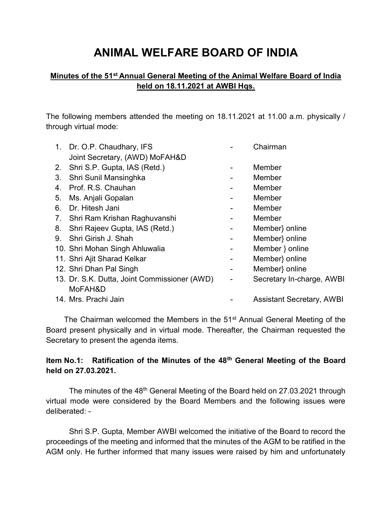# ANIMAL WELFARE BOARD OF INDIA

# Minutes of the 51<sup>st</sup> Annual General Meeting of the Animal Welfare Board of India held on 18.11.2021 at AWBI Hqs.

The following members attended the meeting on 18.11.2021 at 11.00 a.m. physically / through virtual mode:

| 1. Dr. O.P. Chaudhary, IFS                   |                                                                   | Chairman                         |  |
|----------------------------------------------|-------------------------------------------------------------------|----------------------------------|--|
|                                              |                                                                   | Member                           |  |
| Shri Sunil Mansinghka                        |                                                                   | Member                           |  |
| Prof. R.S. Chauhan                           |                                                                   | Member                           |  |
| Ms. Anjali Gopalan                           |                                                                   | Member                           |  |
| Dr. Hitesh Jani                              |                                                                   | Member                           |  |
| 7. Shri Ram Krishan Raghuvanshi              |                                                                   | Member                           |  |
| Shri Rajeev Gupta, IAS (Retd.)               |                                                                   | Member online                    |  |
| Shri Girish J. Shah                          |                                                                   | Member} online                   |  |
| 10. Shri Mohan Singh Ahluwalia               |                                                                   | Member } online                  |  |
| 11. Shri Ajit Sharad Kelkar                  |                                                                   | Member} online                   |  |
| 12. Shri Dhan Pal Singh                      |                                                                   | Member} online                   |  |
| 13. Dr. S.K. Dutta, Joint Commissioner (AWD) |                                                                   | Secretary In-charge, AWBI        |  |
| MoFAH&D                                      |                                                                   |                                  |  |
| 14. Mrs. Prachi Jain                         |                                                                   | <b>Assistant Secretary, AWBI</b> |  |
|                                              | Joint Secretary, (AWD) MoFAH&D<br>2. Shri S.P. Gupta, IAS (Retd.) |                                  |  |

The Chairman welcomed the Members in the 51<sup>st</sup> Annual General Meeting of the Board present physically and in virtual mode. Thereafter, the Chairman requested the Secretary to present the agenda items.

# Item No.1: Ratification of the Minutes of the 48<sup>th</sup> General Meeting of the Board held on 27.03.2021.

The minutes of the 48<sup>th</sup> General Meeting of the Board held on 27.03.2021 through virtual mode were considered by the Board Members and the following issues were deliberated: -

Shri S.P. Gupta, Member AWBI welcomed the initiative of the Board to record the proceedings of the meeting and informed that the minutes of the AGM to be ratified in the AGM only. He further informed that many issues were raised by him and unfortunately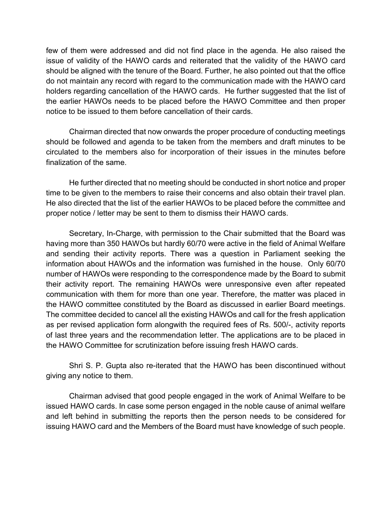few of them were addressed and did not find place in the agenda. He also raised the issue of validity of the HAWO cards and reiterated that the validity of the HAWO card should be aligned with the tenure of the Board. Further, he also pointed out that the office do not maintain any record with regard to the communication made with the HAWO card holders regarding cancellation of the HAWO cards. He further suggested that the list of the earlier HAWOs needs to be placed before the HAWO Committee and then proper notice to be issued to them before cancellation of their cards.

Chairman directed that now onwards the proper procedure of conducting meetings should be followed and agenda to be taken from the members and draft minutes to be circulated to the members also for incorporation of their issues in the minutes before finalization of the same.

He further directed that no meeting should be conducted in short notice and proper time to be given to the members to raise their concerns and also obtain their travel plan. He also directed that the list of the earlier HAWOs to be placed before the committee and proper notice / letter may be sent to them to dismiss their HAWO cards.

Secretary, In-Charge, with permission to the Chair submitted that the Board was having more than 350 HAWOs but hardly 60/70 were active in the field of Animal Welfare and sending their activity reports. There was a question in Parliament seeking the information about HAWOs and the information was furnished in the house. Only 60/70 number of HAWOs were responding to the correspondence made by the Board to submit their activity report. The remaining HAWOs were unresponsive even after repeated communication with them for more than one year. Therefore, the matter was placed in the HAWO committee constituted by the Board as discussed in earlier Board meetings. The committee decided to cancel all the existing HAWOs and call for the fresh application as per revised application form alongwith the required fees of Rs. 500/-, activity reports of last three years and the recommendation letter. The applications are to be placed in the HAWO Committee for scrutinization before issuing fresh HAWO cards.

Shri S. P. Gupta also re-iterated that the HAWO has been discontinued without giving any notice to them.

Chairman advised that good people engaged in the work of Animal Welfare to be issued HAWO cards. In case some person engaged in the noble cause of animal welfare and left behind in submitting the reports then the person needs to be considered for issuing HAWO card and the Members of the Board must have knowledge of such people.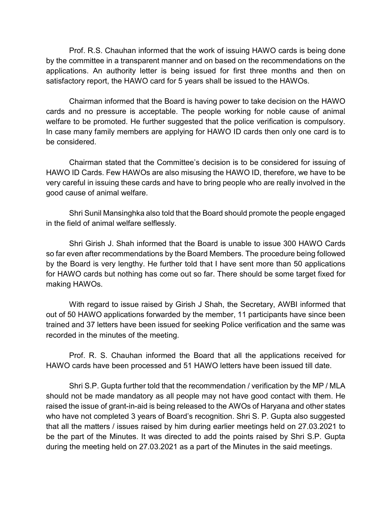Prof. R.S. Chauhan informed that the work of issuing HAWO cards is being done by the committee in a transparent manner and on based on the recommendations on the applications. An authority letter is being issued for first three months and then on satisfactory report, the HAWO card for 5 years shall be issued to the HAWOs.

Chairman informed that the Board is having power to take decision on the HAWO cards and no pressure is acceptable. The people working for noble cause of animal welfare to be promoted. He further suggested that the police verification is compulsory. In case many family members are applying for HAWO ID cards then only one card is to be considered.

Chairman stated that the Committee's decision is to be considered for issuing of HAWO ID Cards. Few HAWOs are also misusing the HAWO ID, therefore, we have to be very careful in issuing these cards and have to bring people who are really involved in the good cause of animal welfare.

Shri Sunil Mansinghka also told that the Board should promote the people engaged in the field of animal welfare selflessly.

Shri Girish J. Shah informed that the Board is unable to issue 300 HAWO Cards so far even after recommendations by the Board Members. The procedure being followed by the Board is very lengthy. He further told that I have sent more than 50 applications for HAWO cards but nothing has come out so far. There should be some target fixed for making HAWOs.

With regard to issue raised by Girish J Shah, the Secretary, AWBI informed that out of 50 HAWO applications forwarded by the member, 11 participants have since been trained and 37 letters have been issued for seeking Police verification and the same was recorded in the minutes of the meeting.

Prof. R. S. Chauhan informed the Board that all the applications received for HAWO cards have been processed and 51 HAWO letters have been issued till date.

Shri S.P. Gupta further told that the recommendation / verification by the MP / MLA should not be made mandatory as all people may not have good contact with them. He raised the issue of grant-in-aid is being released to the AWOs of Haryana and other states who have not completed 3 years of Board's recognition. Shri S. P. Gupta also suggested that all the matters / issues raised by him during earlier meetings held on 27.03.2021 to be the part of the Minutes. It was directed to add the points raised by Shri S.P. Gupta during the meeting held on 27.03.2021 as a part of the Minutes in the said meetings.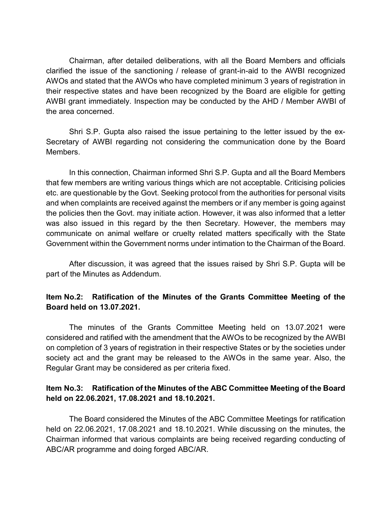Chairman, after detailed deliberations, with all the Board Members and officials clarified the issue of the sanctioning / release of grant-in-aid to the AWBI recognized AWOs and stated that the AWOs who have completed minimum 3 years of registration in their respective states and have been recognized by the Board are eligible for getting AWBI grant immediately. Inspection may be conducted by the AHD / Member AWBI of the area concerned.

Shri S.P. Gupta also raised the issue pertaining to the letter issued by the ex-Secretary of AWBI regarding not considering the communication done by the Board Members.

In this connection, Chairman informed Shri S.P. Gupta and all the Board Members that few members are writing various things which are not acceptable. Criticising policies etc. are questionable by the Govt. Seeking protocol from the authorities for personal visits and when complaints are received against the members or if any member is going against the policies then the Govt. may initiate action. However, it was also informed that a letter was also issued in this regard by the then Secretary. However, the members may communicate on animal welfare or cruelty related matters specifically with the State Government within the Government norms under intimation to the Chairman of the Board.

After discussion, it was agreed that the issues raised by Shri S.P. Gupta will be part of the Minutes as Addendum.

#### Item No.2: Ratification of the Minutes of the Grants Committee Meeting of the Board held on 13.07.2021.

The minutes of the Grants Committee Meeting held on 13.07.2021 were considered and ratified with the amendment that the AWOs to be recognized by the AWBI on completion of 3 years of registration in their respective States or by the societies under society act and the grant may be released to the AWOs in the same year. Also, the Regular Grant may be considered as per criteria fixed.

#### Item No.3: Ratification of the Minutes of the ABC Committee Meeting of the Board held on 22.06.2021, 17.08.2021 and 18.10.2021.

The Board considered the Minutes of the ABC Committee Meetings for ratification held on 22.06.2021, 17.08.2021 and 18.10.2021. While discussing on the minutes, the Chairman informed that various complaints are being received regarding conducting of ABC/AR programme and doing forged ABC/AR.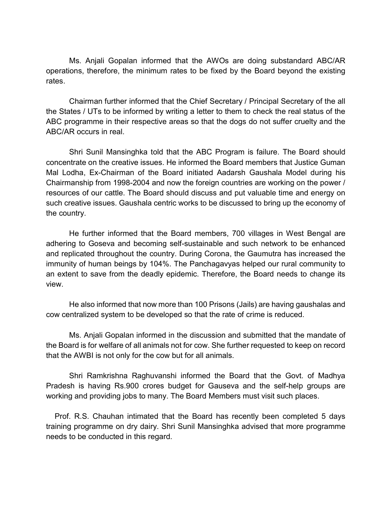Ms. Anjali Gopalan informed that the AWOs are doing substandard ABC/AR operations, therefore, the minimum rates to be fixed by the Board beyond the existing rates.

 Chairman further informed that the Chief Secretary / Principal Secretary of the all the States / UTs to be informed by writing a letter to them to check the real status of the ABC programme in their respective areas so that the dogs do not suffer cruelty and the ABC/AR occurs in real.

Shri Sunil Mansinghka told that the ABC Program is failure. The Board should concentrate on the creative issues. He informed the Board members that Justice Guman Mal Lodha, Ex-Chairman of the Board initiated Aadarsh Gaushala Model during his Chairmanship from 1998-2004 and now the foreign countries are working on the power / resources of our cattle. The Board should discuss and put valuable time and energy on such creative issues. Gaushala centric works to be discussed to bring up the economy of the country.

 He further informed that the Board members, 700 villages in West Bengal are adhering to Goseva and becoming self-sustainable and such network to be enhanced and replicated throughout the country. During Corona, the Gaumutra has increased the immunity of human beings by 104%. The Panchagavyas helped our rural community to an extent to save from the deadly epidemic. Therefore, the Board needs to change its view.

 He also informed that now more than 100 Prisons (Jails) are having gaushalas and cow centralized system to be developed so that the rate of crime is reduced.

 Ms. Anjali Gopalan informed in the discussion and submitted that the mandate of the Board is for welfare of all animals not for cow. She further requested to keep on record that the AWBI is not only for the cow but for all animals.

 Shri Ramkrishna Raghuvanshi informed the Board that the Govt. of Madhya Pradesh is having Rs.900 crores budget for Gauseva and the self-help groups are working and providing jobs to many. The Board Members must visit such places.

 Prof. R.S. Chauhan intimated that the Board has recently been completed 5 days training programme on dry dairy. Shri Sunil Mansinghka advised that more programme needs to be conducted in this regard.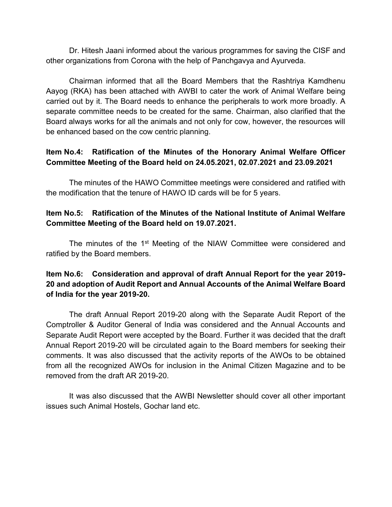Dr. Hitesh Jaani informed about the various programmes for saving the CISF and other organizations from Corona with the help of Panchgavya and Ayurveda.

 Chairman informed that all the Board Members that the Rashtriya Kamdhenu Aayog (RKA) has been attached with AWBI to cater the work of Animal Welfare being carried out by it. The Board needs to enhance the peripherals to work more broadly. A separate committee needs to be created for the same. Chairman, also clarified that the Board always works for all the animals and not only for cow, however, the resources will be enhanced based on the cow centric planning.

# Item No.4: Ratification of the Minutes of the Honorary Animal Welfare Officer Committee Meeting of the Board held on 24.05.2021, 02.07.2021 and 23.09.2021

 The minutes of the HAWO Committee meetings were considered and ratified with the modification that the tenure of HAWO ID cards will be for 5 years.

# Item No.5: Ratification of the Minutes of the National Institute of Animal Welfare Committee Meeting of the Board held on 19.07.2021.

The minutes of the 1<sup>st</sup> Meeting of the NIAW Committee were considered and ratified by the Board members.

# Item No.6: Consideration and approval of draft Annual Report for the year 2019- 20 and adoption of Audit Report and Annual Accounts of the Animal Welfare Board of India for the year 2019-20.

The draft Annual Report 2019-20 along with the Separate Audit Report of the Comptroller & Auditor General of India was considered and the Annual Accounts and Separate Audit Report were accepted by the Board. Further it was decided that the draft Annual Report 2019-20 will be circulated again to the Board members for seeking their comments. It was also discussed that the activity reports of the AWOs to be obtained from all the recognized AWOs for inclusion in the Animal Citizen Magazine and to be removed from the draft AR 2019-20.

It was also discussed that the AWBI Newsletter should cover all other important issues such Animal Hostels, Gochar land etc.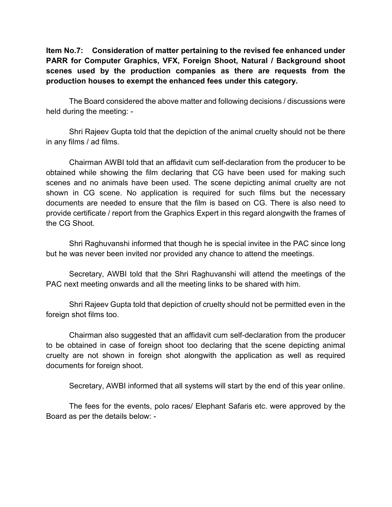Item No.7: Consideration of matter pertaining to the revised fee enhanced under PARR for Computer Graphics, VFX, Foreign Shoot, Natural / Background shoot scenes used by the production companies as there are requests from the production houses to exempt the enhanced fees under this category.

 The Board considered the above matter and following decisions / discussions were held during the meeting: -

Shri Rajeev Gupta told that the depiction of the animal cruelty should not be there in any films / ad films.

 Chairman AWBI told that an affidavit cum self-declaration from the producer to be obtained while showing the film declaring that CG have been used for making such scenes and no animals have been used. The scene depicting animal cruelty are not shown in CG scene. No application is required for such films but the necessary documents are needed to ensure that the film is based on CG. There is also need to provide certificate / report from the Graphics Expert in this regard alongwith the frames of the CG Shoot.

 Shri Raghuvanshi informed that though he is special invitee in the PAC since long but he was never been invited nor provided any chance to attend the meetings.

 Secretary, AWBI told that the Shri Raghuvanshi will attend the meetings of the PAC next meeting onwards and all the meeting links to be shared with him.

Shri Rajeev Gupta told that depiction of cruelty should not be permitted even in the foreign shot films too.

Chairman also suggested that an affidavit cum self-declaration from the producer to be obtained in case of foreign shoot too declaring that the scene depicting animal cruelty are not shown in foreign shot alongwith the application as well as required documents for foreign shoot.

Secretary, AWBI informed that all systems will start by the end of this year online.

The fees for the events, polo races/ Elephant Safaris etc. were approved by the Board as per the details below: -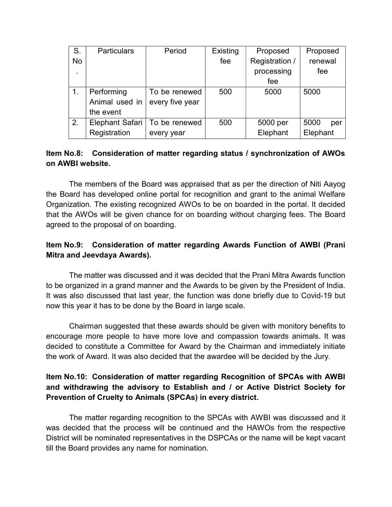| S. | <b>Particulars</b> | Period                          | Existing | Proposed       | Proposed    |
|----|--------------------|---------------------------------|----------|----------------|-------------|
| No |                    |                                 | fee      | Registration / | renewal     |
|    |                    |                                 |          | processing     | fee         |
|    |                    |                                 |          | fee            |             |
|    | Performing         | To be renewed                   | 500      | 5000           | 5000        |
|    | Animal used in     | every five year                 |          |                |             |
|    | the event          |                                 |          |                |             |
| 2. |                    | Elephant Safari   To be renewed | 500      | 5000 per       | 5000<br>per |
|    | Registration       | every year                      |          | Elephant       | Elephant    |

# Item No.8: Consideration of matter regarding status / synchronization of AWOs on AWBI website.

The members of the Board was appraised that as per the direction of Niti Aayog the Board has developed online portal for recognition and grant to the animal Welfare Organization. The existing recognized AWOs to be on boarded in the portal. It decided that the AWOs will be given chance for on boarding without charging fees. The Board agreed to the proposal of on boarding.

# Item No.9: Consideration of matter regarding Awards Function of AWBI (Prani Mitra and Jeevdaya Awards).

 The matter was discussed and it was decided that the Prani Mitra Awards function to be organized in a grand manner and the Awards to be given by the President of India. It was also discussed that last year, the function was done briefly due to Covid-19 but now this year it has to be done by the Board in large scale.

 Chairman suggested that these awards should be given with monitory benefits to encourage more people to have more love and compassion towards animals. It was decided to constitute a Committee for Award by the Chairman and immediately initiate the work of Award. It was also decided that the awardee will be decided by the Jury.

# Item No.10: Consideration of matter regarding Recognition of SPCAs with AWBI and withdrawing the advisory to Establish and / or Active District Society for Prevention of Cruelty to Animals (SPCAs) in every district.

 The matter regarding recognition to the SPCAs with AWBI was discussed and it was decided that the process will be continued and the HAWOs from the respective District will be nominated representatives in the DSPCAs or the name will be kept vacant till the Board provides any name for nomination.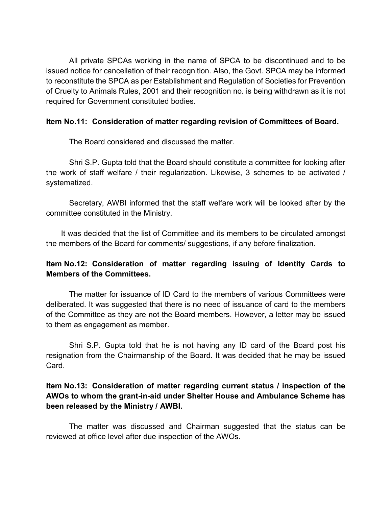All private SPCAs working in the name of SPCA to be discontinued and to be issued notice for cancellation of their recognition. Also, the Govt. SPCA may be informed to reconstitute the SPCA as per Establishment and Regulation of Societies for Prevention of Cruelty to Animals Rules, 2001 and their recognition no. is being withdrawn as it is not required for Government constituted bodies.

#### Item No.11: Consideration of matter regarding revision of Committees of Board.

The Board considered and discussed the matter.

 Shri S.P. Gupta told that the Board should constitute a committee for looking after the work of staff welfare / their regularization. Likewise, 3 schemes to be activated / systematized.

 Secretary, AWBI informed that the staff welfare work will be looked after by the committee constituted in the Ministry.

 It was decided that the list of Committee and its members to be circulated amongst the members of the Board for comments/ suggestions, if any before finalization.

# Item No.12: Consideration of matter regarding issuing of Identity Cards to Members of the Committees.

 The matter for issuance of ID Card to the members of various Committees were deliberated. It was suggested that there is no need of issuance of card to the members of the Committee as they are not the Board members. However, a letter may be issued to them as engagement as member.

 Shri S.P. Gupta told that he is not having any ID card of the Board post his resignation from the Chairmanship of the Board. It was decided that he may be issued Card.

## Item No.13: Consideration of matter regarding current status / inspection of the AWOs to whom the grant-in-aid under Shelter House and Ambulance Scheme has been released by the Ministry / AWBI.

 The matter was discussed and Chairman suggested that the status can be reviewed at office level after due inspection of the AWOs.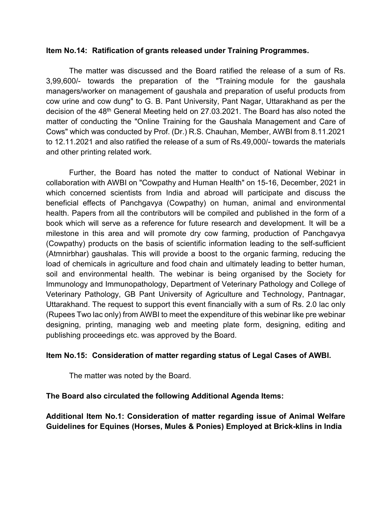#### Item No.14: Ratification of grants released under Training Programmes.

 The matter was discussed and the Board ratified the release of a sum of Rs. 3,99,600/- towards the preparation of the "Training module for the gaushala managers/worker on management of gaushala and preparation of useful products from cow urine and cow dung" to G. B. Pant University, Pant Nagar, Uttarakhand as per the decision of the 48<sup>th</sup> General Meeting held on 27.03.2021. The Board has also noted the matter of conducting the "Online Training for the Gaushala Management and Care of Cows" which was conducted by Prof. (Dr.) R.S. Chauhan, Member, AWBI from 8.11.2021 to 12.11.2021 and also ratified the release of a sum of Rs.49,000/- towards the materials and other printing related work.

Further, the Board has noted the matter to conduct of National Webinar in collaboration with AWBI on "Cowpathy and Human Health" on 15-16, December, 2021 in which concerned scientists from India and abroad will participate and discuss the beneficial effects of Panchgavya (Cowpathy) on human, animal and environmental health. Papers from all the contributors will be compiled and published in the form of a book which will serve as a reference for future research and development. It will be a milestone in this area and will promote dry cow farming, production of Panchgavya (Cowpathy) products on the basis of scientific information leading to the self-sufficient (Atmnirbhar) gaushalas. This will provide a boost to the organic farming, reducing the load of chemicals in agriculture and food chain and ultimately leading to better human, soil and environmental health. The webinar is being organised by the Society for Immunology and Immunopathology, Department of Veterinary Pathology and College of Veterinary Pathology, GB Pant University of Agriculture and Technology, Pantnagar, Uttarakhand. The request to support this event financially with a sum of Rs. 2.0 lac only (Rupees Two lac only) from AWBI to meet the expenditure of this webinar like pre webinar designing, printing, managing web and meeting plate form, designing, editing and publishing proceedings etc. was approved by the Board.

#### Item No.15: Consideration of matter regarding status of Legal Cases of AWBI.

The matter was noted by the Board.

#### The Board also circulated the following Additional Agenda Items:

Additional Item No.1: Consideration of matter regarding issue of Animal Welfare Guidelines for Equines (Horses, Mules & Ponies) Employed at Brick-klins in India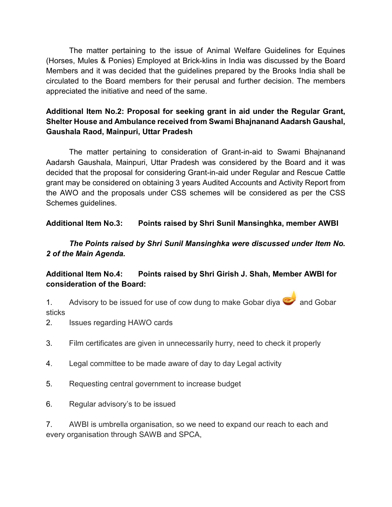The matter pertaining to the issue of Animal Welfare Guidelines for Equines (Horses, Mules & Ponies) Employed at Brick-klins in India was discussed by the Board Members and it was decided that the guidelines prepared by the Brooks India shall be circulated to the Board members for their perusal and further decision. The members appreciated the initiative and need of the same.

# Additional Item No.2: Proposal for seeking grant in aid under the Regular Grant, Shelter House and Ambulance received from Swami Bhajnanand Aadarsh Gaushal, Gaushala Raod, Mainpuri, Uttar Pradesh

The matter pertaining to consideration of Grant-in-aid to Swami Bhajnanand Aadarsh Gaushala, Mainpuri, Uttar Pradesh was considered by the Board and it was decided that the proposal for considering Grant-in-aid under Regular and Rescue Cattle grant may be considered on obtaining 3 years Audited Accounts and Activity Report from the AWO and the proposals under CSS schemes will be considered as per the CSS Schemes guidelines.

# Additional Item No.3: Points raised by Shri Sunil Mansinghka, member AWBI

The Points raised by Shri Sunil Mansinghka were discussed under Item No. 2 of the Main Agenda.

# Additional Item No.4: Points raised by Shri Girish J. Shah, Member AWBI for consideration of the Board:

1. Advisory to be issued for use of cow dung to make Gobar diya **and Gobar** sticks

2. Issues regarding HAWO cards

- 3. Film certificates are given in unnecessarily hurry, need to check it properly
- 4. Legal committee to be made aware of day to day Legal activity
- 5. Requesting central government to increase budget
- 6. Regular advisory's to be issued

7. AWBI is umbrella organisation, so we need to expand our reach to each and every organisation through SAWB and SPCA,